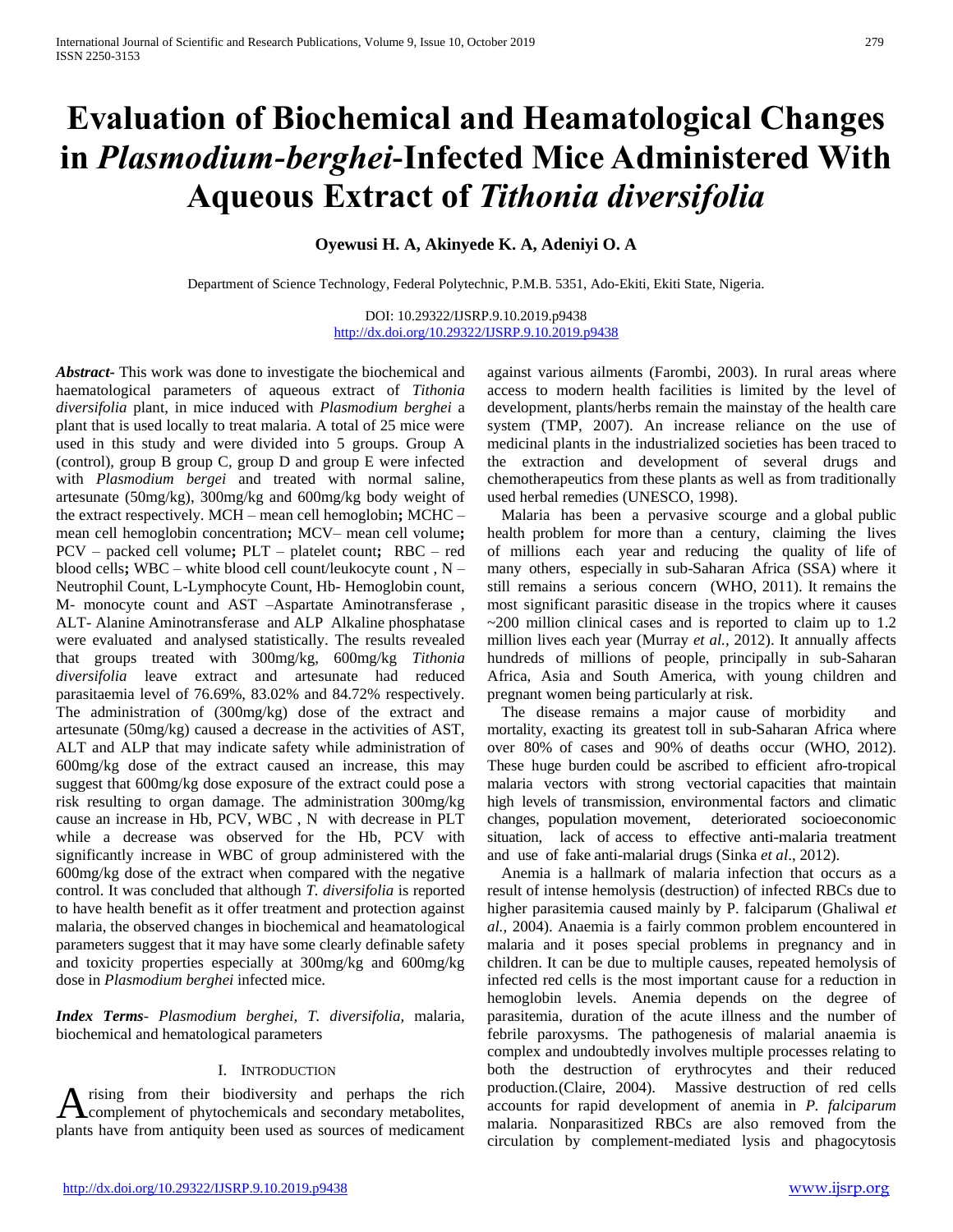# **Evaluation of Biochemical and Heamatological Changes in** *Plasmodium-berghei***-Infected Mice Administered With Aqueous Extract of** *Tithonia diversifolia*

# **Oyewusi H. A, Akinyede K. A, Adeniyi O. A**

Department of Science Technology, Federal Polytechnic, P.M.B. 5351, Ado-Ekiti, Ekiti State, Nigeria.

DOI: 10.29322/IJSRP.9.10.2019.p9438 <http://dx.doi.org/10.29322/IJSRP.9.10.2019.p9438>

*Abstract***-** This work was done to investigate the biochemical and haematological parameters of aqueous extract of *Tithonia diversifolia* plant, in mice induced with *Plasmodium berghei* a plant that is used locally to treat malaria. A total of 25 mice were used in this study and were divided into 5 groups. Group A (control), group B group C, group D and group E were infected with *Plasmodium bergei* and treated with normal saline, artesunate (50mg/kg), 300mg/kg and 600mg/kg body weight of the extract respectively. MCH – mean cell hemoglobin**;** MCHC – mean cell hemoglobin concentration**;** MCV– mean cell volume**;**  PCV – packed cell volume**;** PLT – platelet count**;** RBC – red blood cells**;** WBC – white blood cell count/leukocyte count , N – Neutrophil Count, L-Lymphocyte Count, Hb- Hemoglobin count, M- monocyte count and AST –Aspartate Aminotransferase , ALT- Alanine Aminotransferase and ALP Alkaline phosphatase were evaluated and analysed statistically. The results revealed that groups treated with 300mg/kg, 600mg/kg *Tithonia diversifolia* leave extract and artesunate had reduced parasitaemia level of 76.69%, 83.02% and 84.72% respectively. The administration of (300mg/kg) dose of the extract and artesunate (50mg/kg) caused a decrease in the activities of AST, ALT and ALP that may indicate safety while administration of 600mg/kg dose of the extract caused an increase, this may suggest that 600mg/kg dose exposure of the extract could pose a risk resulting to organ damage. The administration 300mg/kg cause an increase in Hb, PCV, WBC , N with decrease in PLT while a decrease was observed for the Hb, PCV with significantly increase in WBC of group administered with the 600mg/kg dose of the extract when compared with the negative control. It was concluded that although *T. diversifolia* is reported to have health benefit as it offer treatment and protection against malaria, the observed changes in biochemical and heamatological parameters suggest that it may have some clearly definable safety and toxicity properties especially at 300mg/kg and 600mg/kg dose in *Plasmodium berghei* infected mice.

*Index Terms*- *Plasmodium berghei, T. diversifolia,* malaria, biochemical and hematological parameters

#### I. INTRODUCTION

rising from their biodiversity and perhaps the rich A rising from their biodiversity and perhaps the rich complement of phytochemicals and secondary metabolites, plants have from antiquity been used as sources of medicament

against various ailments (Farombi, 2003). In rural areas where access to modern health facilities is limited by the level of development, plants/herbs remain the mainstay of the health care system (TMP, 2007). An increase reliance on the use of medicinal plants in the industrialized societies has been traced to the extraction and development of several drugs and chemotherapeutics from these plants as well as from traditionally used herbal remedies (UNESCO, 1998).

Malaria has been a pervasive scourge and a global public health problem for more than a century, claiming the lives of millions each year and reducing the quality of life of many others, especially in sub-Saharan Africa (SSA) where it still remains a serious concern (WHO, 2011). It remains the most significant parasitic disease in the tropics where it causes  $\sim$ 200 million clinical cases and is reported to claim up to 1.2 million lives each year (Murray *et al.,* 2012). It annually affects hundreds of millions of people, principally in sub-Saharan Africa, Asia and South America, with young children and pregnant women being particularly at risk.

The disease remains a major cause of morbidity and mortality, exacting its greatest toll in sub-Saharan Africa where over 80% of cases and 90% of deaths occur (WHO, 2012). These huge burden could be ascribed to efficient afro-tropical malaria vectors with strong vectorial capacities that maintain high levels of transmission, environmental factors and climatic changes, population movement, deteriorated socioeconomic situation, lack of access to effective anti-malaria treatment and use of fake anti-malarial drugs (Sinka *et al*., 2012).

Anemia is a hallmark of malaria infection that occurs as a result of intense hemolysis (destruction) of infected RBCs due to higher parasitemia caused mainly by P. falciparum (Ghaliwal *et al.,* 2004). Anaemia is a fairly common problem encountered in malaria and it poses special problems in pregnancy and in children. It can be due to multiple causes, repeated hemolysis of infected red cells is the most important cause for a reduction in hemoglobin levels. Anemia depends on the degree of parasitemia, duration of the acute illness and the number of febrile paroxysms. The pathogenesis of malarial anaemia is complex and undoubtedly involves multiple processes relating to both the destruction of erythrocytes and their reduced production*.*(Claire, 2004). Massive destruction of red cells accounts for rapid development of anemia in *P. falciparum* malaria. Nonparasitized RBCs are also removed from the circulation by complement-mediated lysis and phagocytosis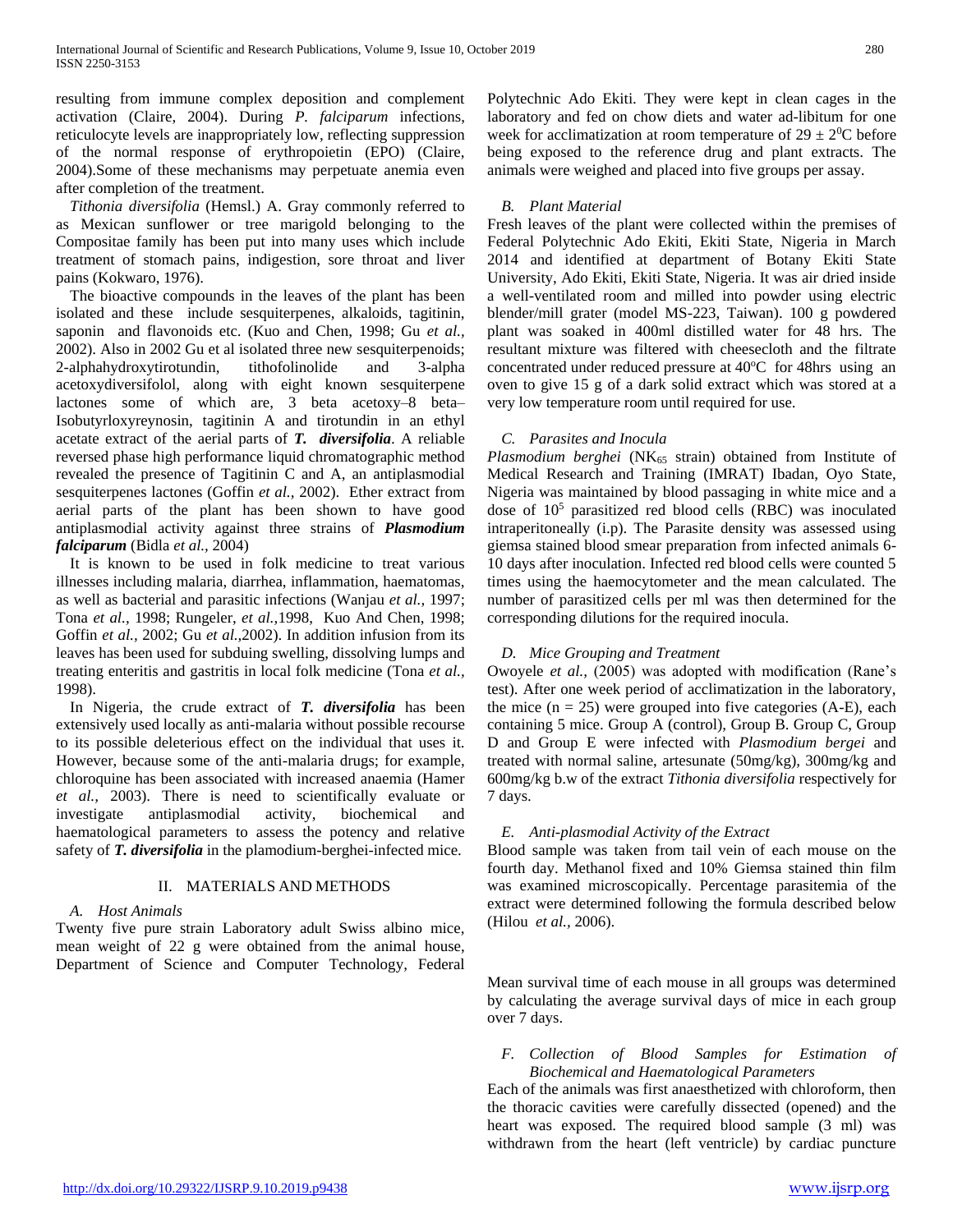resulting from immune complex deposition and complement activation (Claire, 2004). During *P. falciparum* infections, reticulocyte levels are inappropriately low, reflecting suppression of the normal response of erythropoietin (EPO) (Claire, 2004).Some of these mechanisms may perpetuate anemia even after completion of the treatment.

*Tithonia diversifolia* (Hemsl.) A. Gray commonly referred to as Mexican sunflower or tree marigold belonging to the Compositae family has been put into many uses which include treatment of stomach pains, indigestion, sore throat and liver pains (Kokwaro, 1976).

The bioactive compounds in the leaves of the plant has been isolated and these include sesquiterpenes, alkaloids, tagitinin, saponin and flavonoids etc. (Kuo and Chen, 1998; Gu *et al.,* 2002). Also in 2002 Gu et al isolated three new sesquiterpenoids; 2-alphahydroxytirotundin, tithofolinolide and 3-alpha acetoxydiversifolol, along with eight known sesquiterpene lactones some of which are, 3 beta acetoxy–8 beta– Isobutyrloxyreynosin, tagitinin A and tirotundin in an ethyl acetate extract of the aerial parts of *T. diversifolia*. A reliable reversed phase high performance liquid chromatographic method revealed the presence of Tagitinin C and A, an antiplasmodial sesquiterpenes lactones (Goffin *et al.,* 2002). Ether extract from aerial parts of the plant has been shown to have good antiplasmodial activity against three strains of *Plasmodium falciparum* (Bidla *et al.,* 2004)

It is known to be used in folk medicine to treat various illnesses including malaria, diarrhea, inflammation, haematomas, as well as bacterial and parasitic infections (Wanjau *et al.,* 1997; Tona *et al.,* 1998; Rungeler, *et al.,*1998, Kuo And Chen, 1998; Goffin *et al.,* 2002; Gu *et al.,*2002). In addition infusion from its leaves has been used for subduing swelling, dissolving lumps and treating enteritis and gastritis in local folk medicine (Tona *et al.,* 1998).

In Nigeria, the crude extract of *T. diversifolia* has been extensively used locally as anti-malaria without possible recourse to its possible deleterious effect on the individual that uses it. However, because some of the anti-malaria drugs; for example, chloroquine has been associated with increased anaemia (Hamer *et al.,* 2003). There is need to scientifically evaluate or investigate antiplasmodial activity, biochemical and haematological parameters to assess the potency and relative safety of *T. diversifolia* in the plamodium-berghei-infected mice.

## II. MATERIALS AND METHODS

## *A. Host Animals*

Twenty five pure strain Laboratory adult Swiss albino mice, mean weight of 22 g were obtained from the animal house, Department of Science and Computer Technology, Federal Polytechnic Ado Ekiti. They were kept in clean cages in the laboratory and fed on chow diets and water ad-libitum for one week for acclimatization at room temperature of  $29 \pm 2^0C$  before being exposed to the reference drug and plant extracts. The animals were weighed and placed into five groups per assay.

## *B. Plant Material*

Fresh leaves of the plant were collected within the premises of Federal Polytechnic Ado Ekiti, Ekiti State, Nigeria in March 2014 and identified at department of Botany Ekiti State University, Ado Ekiti, Ekiti State, Nigeria. It was air dried inside a well-ventilated room and milled into powder using electric blender/mill grater (model MS-223, Taiwan). 100 g powdered plant was soaked in 400ml distilled water for 48 hrs. The resultant mixture was filtered with cheesecloth and the filtrate concentrated under reduced pressure at 40°C for 48hrs using an oven to give 15 g of a dark solid extract which was stored at a very low temperature room until required for use.

## *C. Parasites and Inocula*

*Plasmodium berghei* (NK<sub>65</sub> strain) obtained from Institute of Medical Research and Training (IMRAT) Ibadan, Oyo State, Nigeria was maintained by blood passaging in white mice and a dose of 10<sup>5</sup> parasitized red blood cells (RBC) was inoculated intraperitoneally (i.p). The Parasite density was assessed using giemsa stained blood smear preparation from infected animals 6- 10 days after inoculation. Infected red blood cells were counted 5 times using the haemocytometer and the mean calculated. The number of parasitized cells per ml was then determined for the corresponding dilutions for the required inocula.

## *D. Mice Grouping and Treatment*

Owoyele *et al.,* (2005) was adopted with modification (Rane's test). After one week period of acclimatization in the laboratory, the mice  $(n = 25)$  were grouped into five categories  $(A-E)$ , each containing 5 mice. Group A (control), Group B. Group C, Group D and Group E were infected with *Plasmodium bergei* and treated with normal saline, artesunate (50mg/kg), 300mg/kg and 600mg/kg b.w of the extract *Tithonia diversifolia* respectively for 7 days.

## *E. Anti-plasmodial Activity of the Extract*

Blood sample was taken from tail vein of each mouse on the fourth day. Methanol fixed and 10% Giemsa stained thin film was examined microscopically. Percentage parasitemia of the extract were determined following the formula described below (Hilou *et al.,* 2006).

Mean survival time of each mouse in all groups was determined by calculating the average survival days of mice in each group over 7 days.

*F. Collection of Blood Samples for Estimation of Biochemical and Haematological Parameters*

Each of the animals was first anaesthetized with chloroform, then the thoracic cavities were carefully dissected (opened) and the heart was exposed. The required blood sample (3 ml) was withdrawn from the heart (left ventricle) by cardiac puncture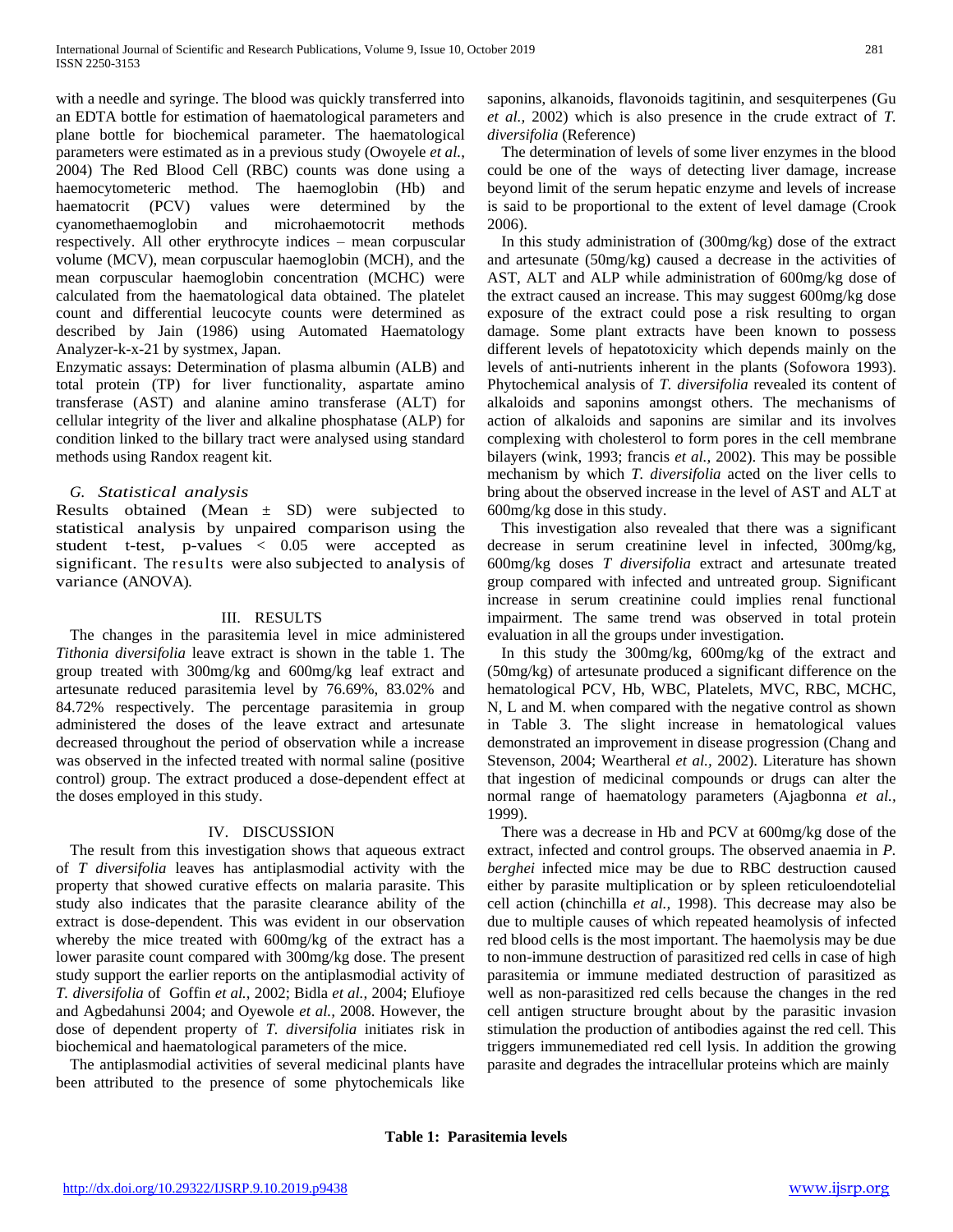with a needle and syringe. The blood was quickly transferred into an EDTA bottle for estimation of haematological parameters and plane bottle for biochemical parameter. The haematological parameters were estimated as in a previous study (Owoyele *et al.*, 2004) The Red Blood Cell (RBC) counts was done using a haemocytometeric method. The haemoglobin (Hb) and haematocrit (PCV) values were determined by the cyanomethaemoglobin and microhaemotocrit methods respectively. All other erythrocyte indices – mean corpuscular volume (MCV), mean corpuscular haemoglobin (MCH), and the mean corpuscular haemoglobin concentration (MCHC) were calculated from the haematological data obtained. The platelet count and differential leucocyte counts were determined as described by Jain (1986) using Automated Haematology Analyzer-k-x-21 by systmex, Japan.

Enzymatic assays: Determination of plasma albumin (ALB) and total protein (TP) for liver functionality, aspartate amino transferase (AST) and alanine amino transferase (ALT) for cellular integrity of the liver and alkaline phosphatase (ALP) for condition linked to the billary tract were analysed using standard methods using Randox reagent kit.

# *G. Statistical analysis*

Results obtained (Mean  $\pm$  SD) were subjected to statistical analysis by unpaired comparison using the student t-test, p-values < 0.05 were accepted as significant. The results were also subjected to analysis of variance (ANOVA).

#### III. RESULTS

The changes in the parasitemia level in mice administered *Tithonia diversifolia* leave extract is shown in the table 1. The group treated with 300mg/kg and 600mg/kg leaf extract and artesunate reduced parasitemia level by 76.69%, 83.02% and 84.72% respectively. The percentage parasitemia in group administered the doses of the leave extract and artesunate decreased throughout the period of observation while a increase was observed in the infected treated with normal saline (positive control) group. The extract produced a dose-dependent effect at the doses employed in this study.

#### IV. DISCUSSION

The result from this investigation shows that aqueous extract of *T diversifolia* leaves has antiplasmodial activity with the property that showed curative effects on malaria parasite. This study also indicates that the parasite clearance ability of the extract is dose-dependent. This was evident in our observation whereby the mice treated with 600mg/kg of the extract has a lower parasite count compared with 300mg/kg dose. The present study support the earlier reports on the antiplasmodial activity of *T. diversifolia* of Goffin *et al.,* 2002; Bidla *et al.,* 2004; Elufioye and Agbedahunsi 2004; and Oyewole *et al.,* 2008. However, the dose of dependent property of *T. diversifolia* initiates risk in biochemical and haematological parameters of the mice.

The antiplasmodial activities of several medicinal plants have been attributed to the presence of some phytochemicals like

saponins, alkanoids, flavonoids tagitinin, and sesquiterpenes (Gu *et al.,* 2002) which is also presence in the crude extract of *T. diversifolia* (Reference)

The determination of levels of some liver enzymes in the blood could be one of the ways of detecting liver damage, increase beyond limit of the serum hepatic enzyme and levels of increase is said to be proportional to the extent of level damage (Crook 2006).

In this study administration of (300mg/kg) dose of the extract and artesunate (50mg/kg) caused a decrease in the activities of AST, ALT and ALP while administration of 600mg/kg dose of the extract caused an increase. This may suggest 600mg/kg dose exposure of the extract could pose a risk resulting to organ damage. Some plant extracts have been known to possess different levels of hepatotoxicity which depends mainly on the levels of anti-nutrients inherent in the plants (Sofowora 1993). Phytochemical analysis of *T. diversifolia* revealed its content of alkaloids and saponins amongst others. The mechanisms of action of alkaloids and saponins are similar and its involves complexing with cholesterol to form pores in the cell membrane bilayers (wink, 1993; francis *et al.,* 2002). This may be possible mechanism by which *T. diversifolia* acted on the liver cells to bring about the observed increase in the level of AST and ALT at 600mg/kg dose in this study.

This investigation also revealed that there was a significant decrease in serum creatinine level in infected, 300mg/kg, 600mg/kg doses *T diversifolia* extract and artesunate treated group compared with infected and untreated group. Significant increase in serum creatinine could implies renal functional impairment. The same trend was observed in total protein evaluation in all the groups under investigation.

In this study the 300mg/kg, 600mg/kg of the extract and (50mg/kg) of artesunate produced a significant difference on the hematological PCV, Hb, WBC, Platelets, MVC, RBC, MCHC, N, L and M. when compared with the negative control as shown in Table 3. The slight increase in hematological values demonstrated an improvement in disease progression (Chang and Stevenson, 2004; Weartheral *et al.,* 2002). Literature has shown that ingestion of medicinal compounds or drugs can alter the normal range of haematology parameters (Ajagbonna *et al.,* 1999).

There was a decrease in Hb and PCV at 600mg/kg dose of the extract, infected and control groups. The observed anaemia in *P. berghei* infected mice may be due to RBC destruction caused either by parasite multiplication or by spleen reticuloendotelial cell action (chinchilla *et al.,* 1998). This decrease may also be due to multiple causes of which repeated heamolysis of infected red blood cells is the most important. The haemolysis may be due to non-immune destruction of parasitized red cells in case of high parasitemia or immune mediated destruction of parasitized as well as non-parasitized red cells because the changes in the red cell antigen structure brought about by the parasitic invasion stimulation the production of antibodies against the red cell. This triggers immunemediated red cell lysis. In addition the growing parasite and degrades the intracellular proteins which are mainly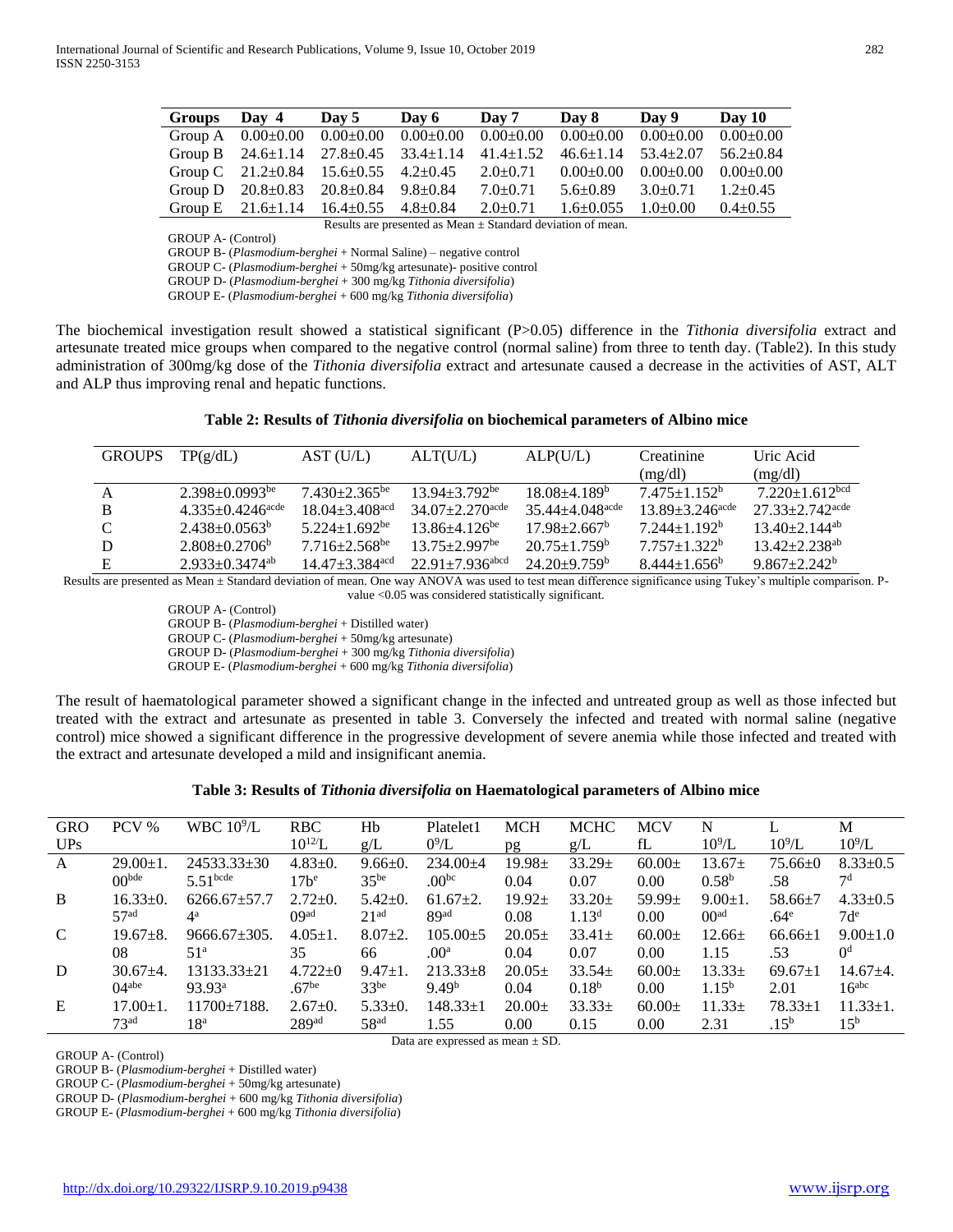| <b>Groups</b>                                                   | Day 4 | Day 5                                                                                                     | Day 6 | Day 7                       | Day 8                           | Day 9           | Day 10          |  |  |
|-----------------------------------------------------------------|-------|-----------------------------------------------------------------------------------------------------------|-------|-----------------------------|---------------------------------|-----------------|-----------------|--|--|
|                                                                 |       | Group A $0.00\pm0.00$ $0.00\pm0.00$ $0.00\pm0.00$ $0.00\pm0.00$ $0.00\pm0.00$ $0.00\pm0.00$ $0.00\pm0.00$ |       |                             |                                 |                 | $0.00 \pm 0.00$ |  |  |
|                                                                 |       | Group B $24.6 \pm 1.14$ $27.8 \pm 0.45$ $33.4 \pm 1.14$ $41.4 \pm 1.52$                                   |       |                             | $46.6 \pm 1.14$ $53.4 \pm 2.07$ |                 | $56.2 \pm 0.84$ |  |  |
|                                                                 |       | Group C $21.2 \pm 0.84$ $15.6 \pm 0.55$ $4.2 \pm 0.45$ $2.0 \pm 0.71$ $0.00 \pm 0.00$                     |       |                             |                                 | $0.00 \pm 0.00$ | $0.00 \pm 0.00$ |  |  |
|                                                                 |       | Group D $20.8 \pm 0.83$ $20.8 \pm 0.84$ $9.8 \pm 0.84$                                                    |       | $7.0{\scriptstyle \pm0.71}$ | $5.6 \pm 0.89$ $3.0 \pm 0.71$   |                 | $1.2 \pm 0.45$  |  |  |
|                                                                 |       | Group E $21.6 \pm 1.14$ $16.4 \pm 0.55$ $4.8 \pm 0.84$                                                    |       | $2.0 \pm 0.71$              | $1.6 \pm 0.055$                 | $1.0 \pm 0.00$  | $0.4 \pm 0.55$  |  |  |
| Results are presented as Mean $\pm$ Standard deviation of mean. |       |                                                                                                           |       |                             |                                 |                 |                 |  |  |

GROUP A- (Control)

GROUP B- (*Plasmodium-berghei* + Normal Saline) – negative control

GROUP C- (*Plasmodium-berghei* + 50mg/kg artesunate)- positive control

GROUP D- (*Plasmodium-berghei* + 300 mg/kg *Tithonia diversifolia*)

GROUP E- (*Plasmodium-berghei* + 600 mg/kg *Tithonia diversifolia*)

The biochemical investigation result showed a statistical significant (P>0.05) difference in the *Tithonia diversifolia* extract and artesunate treated mice groups when compared to the negative control (normal saline) from three to tenth day. (Table2). In this study administration of 300mg/kg dose of the *Tithonia diversifolia* extract and artesunate caused a decrease in the activities of AST, ALT and ALP thus improving renal and hepatic functions.

| <b>GROUPS</b> | TP(g/dL)                     | AST (U/L)                        | ALT(U/L)                          | ALP(U/L)                        | Creatinine                      | Uric Acid                       |
|---------------|------------------------------|----------------------------------|-----------------------------------|---------------------------------|---------------------------------|---------------------------------|
|               |                              |                                  |                                   |                                 | (mg/dl)                         | (mg/dl)                         |
| A             | $2.398 \pm 0.0993$ be        | $7.430 + 2.365$ <sup>be</sup>    | $13.94 \pm 3.792$ <sup>be</sup>   | $18.08 + 4.189^b$               | $7.475 + 1.152^b$               | $7.220 + 1.612bcd$              |
| <sub>B</sub>  | $4.335+0.4246^{\text{acde}}$ | $18.04 \pm 3.408$ <sup>acd</sup> | $34.07 \pm 2.270$ <sup>acde</sup> | $35.44 + 4.048$ <sup>acde</sup> | $13.89 + 3.246$ <sup>acde</sup> | $27.33 + 2.742$ <sup>acde</sup> |
| $\mathcal{C}$ | $2.438 + 0.0563^b$           | $5.224 + 1.692$ <sup>be</sup>    | $13.86 + 4.126$ <sup>be</sup>     | $17.98 + 2.667^b$               | $7.244+1.192^b$                 | $13\,40+2\,144$ <sup>ab</sup>   |
| D             | $2.808 \pm 0.2706^b$         | $7.716 + 2.568$ <sup>be</sup>    | $13.75 \pm 2.997$ <sup>be</sup>   | $20.75 \pm 1.759^{\rm b}$       | $7.757+1.322^b$                 | $13.42 + 2.238$ <sup>ab</sup>   |
| F.            | $2.933+0.3474$ <sup>ab</sup> | $14.47 \pm 3.384$ <sup>acd</sup> | $22.91 + 7.936$ abcd              | $24.20 \pm 9.759^{\circ}$       | $8.444 \pm 1.656^b$             | $9.867 + 2.242^b$               |

Results are presented as Mean ± Standard deviation of mean. One way ANOVA was used to test mean difference significance using Tukey's multiple comparison. Pvalue <0.05 was considered statistically significant.

> GROUP A- (Control) GROUP B- (*Plasmodium-berghei* + Distilled water) GROUP C- (*Plasmodium-berghei* + 50mg/kg artesunate) GROUP D- (*Plasmodium-berghei* + 300 mg/kg *Tithonia diversifolia*) GROUP E- (*Plasmodium-berghei* + 600 mg/kg *Tithonia diversifolia*)

The result of haematological parameter showed a significant change in the infected and untreated group as well as those infected but treated with the extract and artesunate as presented in table 3. Conversely the infected and treated with normal saline (negative control) mice showed a significant difference in the progressive development of severe anemia while those infected and treated with the extract and artesunate developed a mild and insignificant anemia.

| Table 3: Results of Tithonia diversifolia on Haematological parameters of Albino mice |  |  |  |  |
|---------------------------------------------------------------------------------------|--|--|--|--|
|---------------------------------------------------------------------------------------|--|--|--|--|

| <b>GRO</b> | PCV %            | WBC $10^9$ /L          | <b>RBC</b>        | Hb               | Platelet1         | <b>MCH</b>  | <b>MCHC</b>       | <b>MCV</b>  | N                 |                  | М               |
|------------|------------------|------------------------|-------------------|------------------|-------------------|-------------|-------------------|-------------|-------------------|------------------|-----------------|
| UPs        |                  |                        | $10^{12}L$        | g/L              | $0^9$ /L          | pg          | g/L               | fL          | $10^9$ /L         | $10^9$ /L        | $10^9$ /L       |
| A          | $29.00 \pm 1.$   | $24533.33 \pm 30$      | $4.83 \pm 0.$     | $9.66 \pm 0.$    | $234.00 + 4$      | $19.98 \pm$ | $33.29 \pm$       | $60.00+$    | $13.67 \pm$       | $75.66 \pm 0$    | $8.33 \pm 0.5$  |
|            | $00^{bde}$       | $5.51$ <sup>bcde</sup> | $17h^e$           | $35^{be}$        | $.00^{bc}$        | 0.04        | 0.07              | 0.00        | 0.58 <sup>b</sup> | .58              | 7d              |
| B          | $16.33 \pm 0.$   | $6266.67 + 57.7$       | $2.72 \pm 0.$     | $5.42 \pm 0.$    | $61.67+2.$        | $19.92 \pm$ | $33.20 \pm$       | 59.99 $\pm$ | $9.00 \pm 1.$     | $58.66 \pm 7$    | $4.33+0.5$      |
|            | 57 <sup>ad</sup> | $4^{\rm a}$            | OQ <sub>ad</sub>  | 21 <sup>ad</sup> | 89ad              | 0.08        | 1.13 <sup>d</sup> | 0.00        | 00 <sup>ad</sup>  | .64 <sup>e</sup> | $7d^e$          |
| C          | $19.67 + 8.$     | $9666.67 \pm 305.$     | $4.05 \pm 1.$     | $8.07+2.$        | $105.00 \pm 5$    | $20.05+$    | $33.41+$          | $60.00+$    | $12.66 \pm$       | $66.66 \pm 1$    | $9.00 \pm 1.0$  |
|            | 08               | 51 <sup>a</sup>        | 35                | 66               | .00 <sup>a</sup>  | 0.04        | 0.07              | 0.00        | 1.15              | .53              | $^{0d}$         |
| D          | $30.67 + 4.$     | 13133.33+21            | $4.722+0$         | $9.47 \pm 1.$    | $213.33+8$        | $20.05+$    | $33.54+$          | $60.00+$    | $13.33\pm$        | $69.67+1$        | $14.67 + 4.$    |
|            | $04^{abe}$       | $93.93^a$              | .67 <sup>be</sup> | 33 <sup>be</sup> | 9.49 <sup>b</sup> | 0.04        | $0.18^{b}$        | 0.00        | $1.15^{b}$        | 2.01             | $16^{abc}$      |
| E          | $17.00 + 1.$     | $11700+7188$ .         | $2.67+0.$         | $5.33+0.$        | $148.33 \pm 1$    | $20.00+$    | $33.33+$          | $60.00+$    | $11.33\pm$        | $78.33 \pm 1$    | $11.33 \pm 1.$  |
|            | 73 <sup>ad</sup> | 18ª                    | 289 <sup>ad</sup> | 58 <sup>ad</sup> | l.55              | 0.00        | 0.15              | 0.00        | 2.31              | .15 <sup>b</sup> | 15 <sup>b</sup> |

Data are expressed as mean ± SD.

GROUP A- (Control)

GROUP B- (*Plasmodium-berghei* + Distilled water)

GROUP C- (*Plasmodium-berghei* + 50mg/kg artesunate)

GROUP D- (*Plasmodium-berghei* + 600 mg/kg *Tithonia diversifolia*)

GROUP E- (*Plasmodium-berghei* + 600 mg/kg *Tithonia diversifolia*)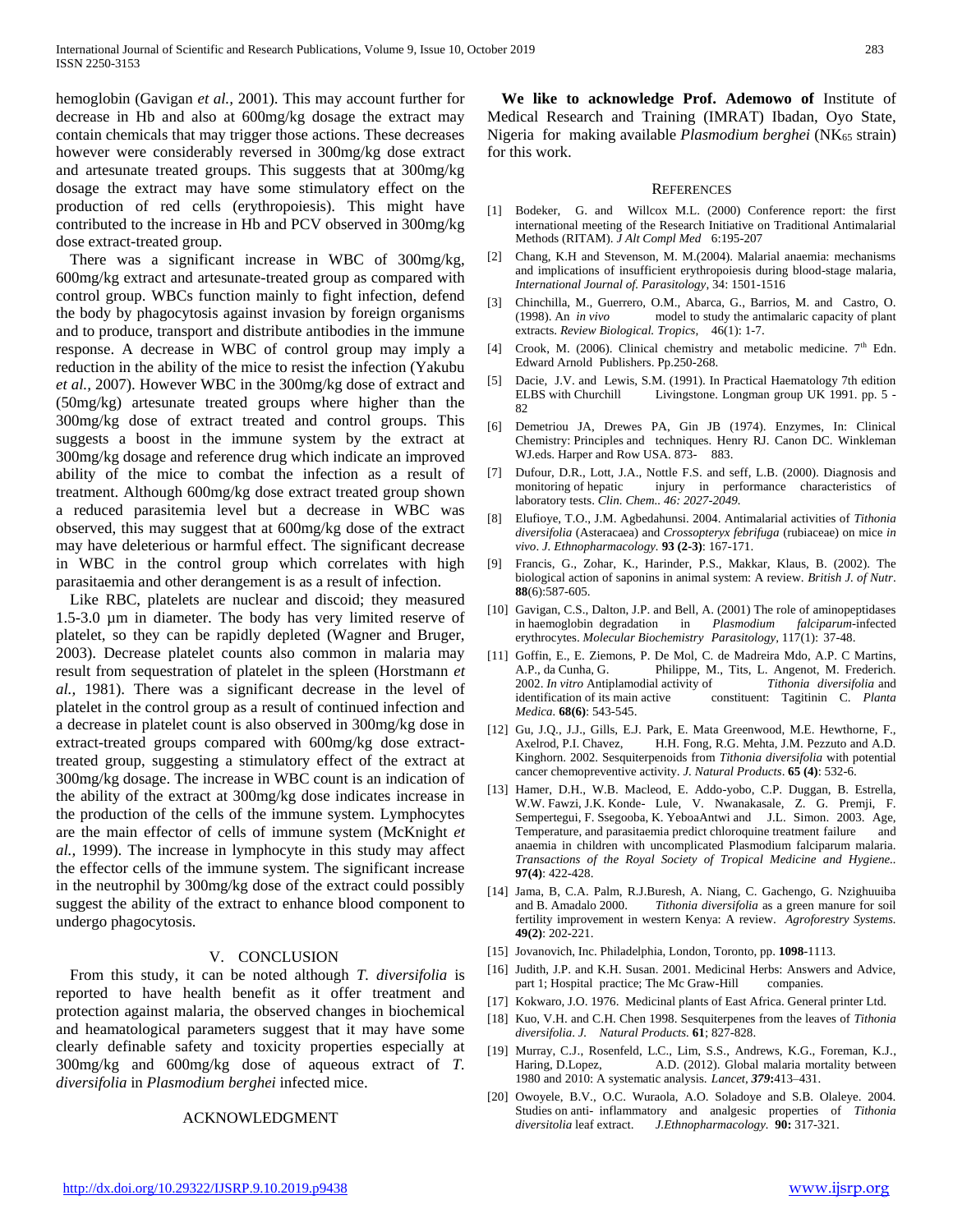hemoglobin (Gavigan *et al.,* 2001). This may account further for decrease in Hb and also at 600mg/kg dosage the extract may contain chemicals that may trigger those actions. These decreases however were considerably reversed in 300mg/kg dose extract and artesunate treated groups. This suggests that at 300mg/kg dosage the extract may have some stimulatory effect on the production of red cells (erythropoiesis). This might have contributed to the increase in Hb and PCV observed in 300mg/kg dose extract-treated group.

There was a significant increase in WBC of 300mg/kg, 600mg/kg extract and artesunate-treated group as compared with control group. WBCs function mainly to fight infection, defend the body by phagocytosis against invasion by foreign organisms and to produce, transport and distribute antibodies in the immune response. A decrease in WBC of control group may imply a reduction in the ability of the mice to resist the infection (Yakubu *et al.,* 2007). However WBC in the 300mg/kg dose of extract and (50mg/kg) artesunate treated groups where higher than the 300mg/kg dose of extract treated and control groups. This suggests a boost in the immune system by the extract at 300mg/kg dosage and reference drug which indicate an improved ability of the mice to combat the infection as a result of treatment. Although 600mg/kg dose extract treated group shown a reduced parasitemia level but a decrease in WBC was observed, this may suggest that at 600mg/kg dose of the extract may have deleterious or harmful effect. The significant decrease in WBC in the control group which correlates with high parasitaemia and other derangement is as a result of infection.

Like RBC, platelets are nuclear and discoid; they measured 1.5-3.0 µm in diameter. The body has very limited reserve of platelet, so they can be rapidly depleted (Wagner and Bruger, 2003). Decrease platelet counts also common in malaria may result from sequestration of platelet in the spleen (Horstmann *et al.,* 1981). There was a significant decrease in the level of platelet in the control group as a result of continued infection and a decrease in platelet count is also observed in 300mg/kg dose in extract-treated groups compared with 600mg/kg dose extracttreated group, suggesting a stimulatory effect of the extract at 300mg/kg dosage. The increase in WBC count is an indication of the ability of the extract at 300mg/kg dose indicates increase in the production of the cells of the immune system. Lymphocytes are the main effector of cells of immune system (McKnight *et al.,* 1999). The increase in lymphocyte in this study may affect the effector cells of the immune system. The significant increase in the neutrophil by 300mg/kg dose of the extract could possibly suggest the ability of the extract to enhance blood component to undergo phagocytosis.

#### V. CONCLUSION

From this study, it can be noted although *T. diversifolia* is reported to have health benefit as it offer treatment and protection against malaria, the observed changes in biochemical and heamatological parameters suggest that it may have some clearly definable safety and toxicity properties especially at 300mg/kg and 600mg/kg dose of aqueous extract of *T. diversifolia* in *Plasmodium berghei* infected mice.

#### ACKNOWLEDGMENT

**We like to acknowledge Prof. Ademowo of** Institute of Medical Research and Training (IMRAT) Ibadan, Oyo State, Nigeria for making available *Plasmodium berghei* (NK<sub>65</sub> strain) for this work.

#### **REFERENCES**

- [1] Bodeker, G. and Willcox M.L. (2000) Conference report: the first international meeting of the Research Initiative on Traditional Antimalarial Methods (RITAM). *J Alt Compl Med* 6:195-207
- [2] Chang, K.H and Stevenson, M. M.(2004). Malarial anaemia: mechanisms and implications of insufficient erythropoiesis during blood-stage malaria, *International Journal of. Parasitology*, 34: 1501-1516
- [3] Chinchilla, M., Guerrero, O.M., Abarca, G., Barrios, M. and Castro, O. (1998). An *in vivo* model to study the antimalaric capacity of plant extracts. *Review Biological. Tropics,* 46(1): 1-7.
- [4] Crook, M. (2006). Clinical chemistry and metabolic medicine. 7<sup>th</sup> Edn. Edward Arnold Publishers. Pp.250-268.
- [5] Dacie, J.V. and Lewis, S.M. (1991). In Practical Haematology 7th edition ELBS with Churchill Livingstone. Longman group UK 1991. pp. 5 - 82
- [6] Demetriou JA, Drewes PA, Gin JB (1974). Enzymes, In: Clinical Chemistry: Principles and techniques. Henry RJ. Canon DC. Winkleman WJ.eds. Harper and Row USA. 873- 883.
- [7] Dufour, D.R., Lott, J.A., Nottle F.S. and seff, L.B. (2000). Diagnosis and monitoring of hepatic injury in performance characteristics of laboratory tests. *Clin. Chem.. 46: 2027-2049.*
- [8] Elufioye, T.O., J.M. Agbedahunsi. 2004. Antimalarial activities of *Tithonia diversifolia* (Asteracaea) and *Crossopteryx febrifuga* (rubiaceae) on mice *in vivo*. *J. Ethnopharmacology.* **93 (2-3)**: 167-171.
- [9] Francis, G., Zohar, K., Harinder, P.S., Makkar, Klaus, B. (2002). The biological action of saponins in animal system: A review. *British J. of Nutr*. **88**(6):587-605.
- [10] Gavigan, C.S., Dalton, J.P. and Bell, A. (2001) The role of aminopeptidases in haemoglobin degradation in *Plasmodium falciparum*-infected erythrocytes. *Molecular Biochemistry Parasitology,* 117(1): 37-48.
- [11] Goffin, E., E. Ziemons, P. De Mol, C. de Madreira Mdo, A.P. C Martins, A.P., da Cunha, G. Philippe, M., Tits, L. Angenot, M. Frederich. 2002. *In vitro* Antiplamodial activity of *Tithonia diversifolia* and identification of its main active constituent: Tagitinin C. *Planta Medica.* **68(6)**: 543-545.
- [12] Gu, J.Q., J.J., Gills, E.J. Park, E. Mata Greenwood, M.E. Hewthorne, F., Axelrod, P.I. Chavez, H.H. Fong, R.G. Mehta, J.M. Pezzuto and A.D. Kinghorn. 2002. Sesquiterpenoids from *Tithonia diversifolia* with potential cancer chemopreventive activity. *J. Natural Products*. **65 (4)**: 532-6.
- [13] Hamer, D.H., W.B. Macleod, E. Addo-yobo, C.P. Duggan, B. Estrella, W.W. Fawzi, J.K. Konde- Lule, V. Nwanakasale, Z. G. Premji, F. Sempertegui, F. Ssegooba, K. YeboaAntwi and J.L. Simon. 2003. Age, Temperature, and parasitaemia predict chloroquine treatment failure and anaemia in children with uncomplicated Plasmodium falciparum malaria. *Transactions of the Royal Society of Tropical Medicine and Hygiene..* **97(4)**: 422-428.
- [14] Jama, B, C.A. Palm, R.J.Buresh, A. Niang, C. Gachengo, G. Nzighuuiba and B. Amadalo 2000. *Tithonia diversifolia* as a green manure for soil fertility improvement in western Kenya: A review. *Agroforestry Systems.* **49(2)**: 202-221.
- [15] Jovanovich, Inc. Philadelphia, London, Toronto, pp. **1098**-1113.
- [16] Judith, J.P. and K.H. Susan. 2001. Medicinal Herbs: Answers and Advice, part 1; Hospital practice; The Mc Graw-Hill companies.
- [17] Kokwaro, J.O. 1976. Medicinal plants of East Africa. General printer Ltd.
- [18] Kuo, V.H. and C.H. Chen 1998. Sesquiterpenes from the leaves of *Tithonia diversifolia*. *J. Natural Products.* **61**; 827-828.
- [19] Murray, C.J., Rosenfeld, L.C., Lim, S.S., Andrews, K.G., Foreman, K.J., Haring, D.Lopez, A.D. (2012). Global malaria mortality between 1980 and 2010: A systematic analysis. *Lancet*, *379***:**413–431.
- [20] Owoyele, B.V., O.C. Wuraola, A.O. Soladoye and S.B. Olaleye. 2004. Studies on anti- inflammatory and analgesic properties of *Tithonia diversitolia* leaf extract. *J.Ethnopharmacology.* **90:** 317-321.